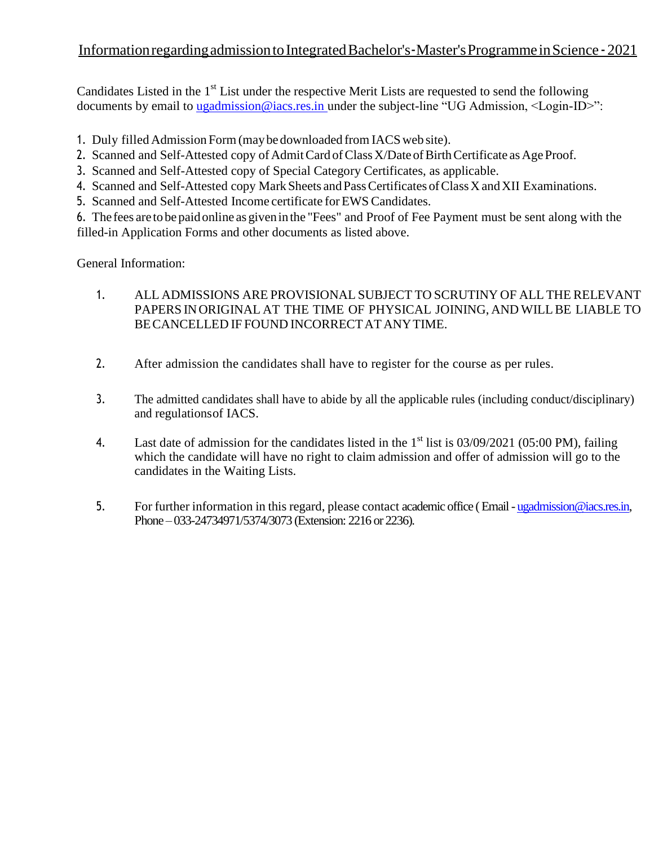## Information regarding admission to Integrated Bachelor's - Master's Programme in Science - 2021

Candidates Listed in the  $1<sup>st</sup>$  List under the respective Merit Lists are requested to send the following documents by email to [ugadmission@iacs.res.in](mailto:ugadmission@iacs.res.in) under the subject-line "UG Admission, <Login-ID>":

- 1. Duly filled Admission Form(maybe downloaded from IACS web site).
- 2. Scanned and Self-Attested copy of Admit Card of Class X/Date of Birth Certificate as Age Proof.
- 3. Scanned and Self-Attested copy of Special Category Certificates, as applicable.
- 4. Scanned and Self-Attested copy Mark Sheets and Pass Certificates of Class X and XII Examinations.
- 5. Scanned and Self-Attested Income certificate forEWS Candidates.

6. The fees are to be paidonline as givenin the "Fees" and Proof of Fee Payment must be sent along with the filled-in Application Forms and other documents as listed above.

General Information:

- 1. ALL ADMISSIONS ARE PROVISIONAL SUBJECT TO SCRUTINY OF ALL THE RELEVANT PAPERS INORIGINAL AT THE TIME OF PHYSICAL JOINING, AND WILLBE LIABLE TO BECANCELLED IF FOUND INCORRECTAT ANYTIME.
- 2. After admission the candidates shall have to register for the course as per rules.
- 3. The admitted candidates shall have to abide by all the applicable rules (including conduct/disciplinary) and regulationsof IACS.
- 4. Last date of admission for the candidates listed in the  $1<sup>st</sup>$  list is 03/09/2021 (05:00 PM), failing which the candidate will have no right to claim admission and offer of admission will go to the candidates in the Waiting Lists.
- 5. For further information in this regard, please contact academic office ( Email [ugadmission@iacs.res.in,](mailto:ugadmission@iacs.res.in) Phone – 033-24734971/5374/3073 (Extension: 2216 or 2236).